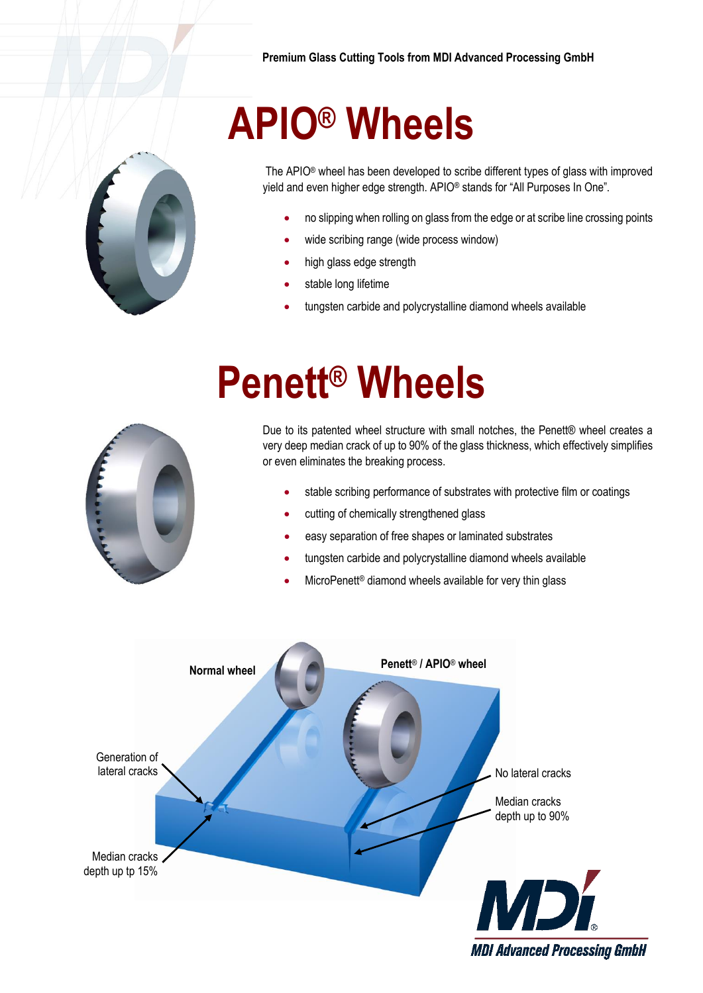

The APIO® wheel has been developed to scribe different types of glass with improved yield and even higher edge strength. APIO® stands for "All Purposes In One".

- no slipping when rolling on glass from the edge or at scribe line crossing points
- wide scribing range (wide process window)
- high glass edge strength

**APIO® Wheels**

- stable long lifetime
- tungsten carbide and polycrystalline diamond wheels available



## **Penett® Wheels**

Due to its patented wheel structure with small notches, the Penett® wheel creates a very deep median crack of up to 90% of the glass thickness, which effectively simplifies or even eliminates the breaking process.

- stable scribing performance of substrates with protective film or coatings
- cutting of chemically strengthened glass
- easy separation of free shapes or laminated substrates
- tungsten carbide and polycrystalline diamond wheels available
- MicroPenett<sup>®</sup> diamond wheels available for very thin glass